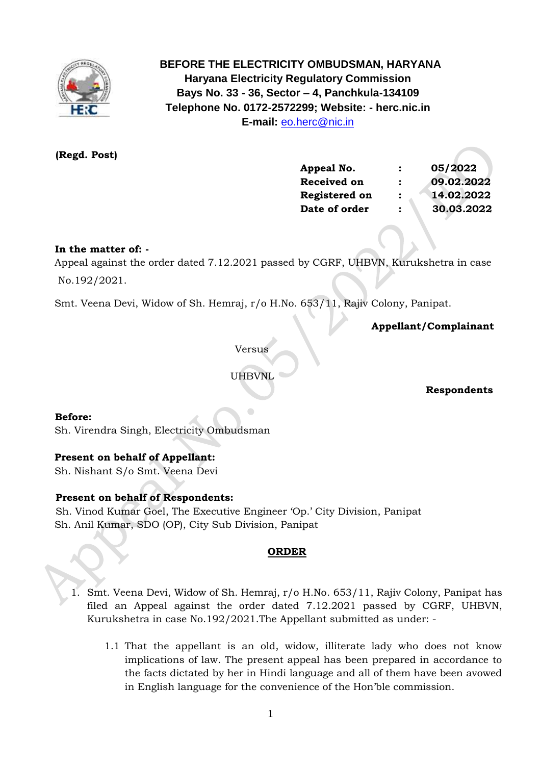

 **BEFORE THE ELECTRICITY OMBUDSMAN, HARYANA Haryana Electricity Regulatory Commission Bays No. 33 - 36, Sector – 4, Panchkula-134109 Telephone No. 0172-2572299; Website: - herc.nic.in E-mail:** [eo.herc@nic.in](mailto:eo.herc@nic.in)

 **(Regd. Post)**

| Appeal No.         | $\mathbf{r}$         | 05/2022    |
|--------------------|----------------------|------------|
| <b>Received on</b> | $\ddot{\cdot}$       | 09.02.2022 |
| Registered on      | $\ddot{\phantom{a}}$ | 14.02.2022 |
| Date of order      | $\ddot{\cdot}$       | 30.03.2022 |

## **In the matter of: -**

 Appeal against the order dated 7.12.2021 passed by CGRF, UHBVN, Kurukshetra in case No.192/2021.

Smt. Veena Devi, Widow of Sh. Hemraj, r/o H.No. 653/11, Rajiv Colony, Panipat.

 **Appellant/Complainant** 

Versus

UHBVNL

 **Respondents**

**Before:** 

Sh. Virendra Singh, Electricity Ombudsman

## **Present on behalf of Appellant:**

Sh. Nishant S/o Smt. Veena Devi

## **Present on behalf of Respondents:**

Sh. Vinod Kumar Goel, The Executive Engineer 'Op.' City Division, Panipat Sh. Anil Kumar, SDO (OP), City Sub Division, Panipat

## **ORDER**

- 1. Smt. Veena Devi, Widow of Sh. Hemraj, r/o H.No. 653/11, Rajiv Colony, Panipat has filed an Appeal against the order dated 7.12.2021 passed by CGRF, UHBVN, Kurukshetra in case No.192/2021.The Appellant submitted as under: -
	- 1.1 That the appellant is an old, widow, illiterate lady who does not know implications of law. The present appeal has been prepared in accordance to the facts dictated by her in Hindi language and all of them have been avowed in English language for the convenience of the Hon'ble commission.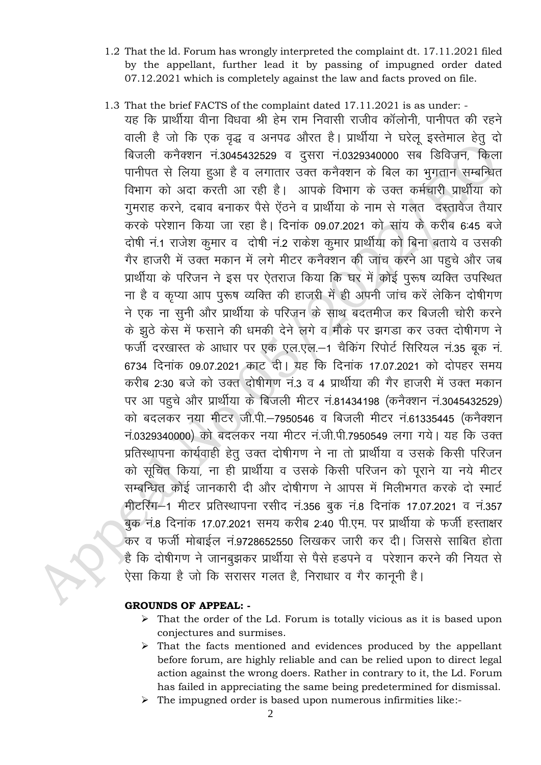- 1.2 That the ld. Forum has wrongly interpreted the complaint dt. 17.11.2021 filed by the appellant, further lead it by passing of impugned order dated 07.12.2021 which is completely against the law and facts proved on file.
- 1.3 That the brief FACTS of the complaint dated 17.11.2021 is as under: यह कि प्रार्थीया वीना विधवा श्री हेम राम निवासी राजीव कॉलोनी, पानीपत की रहने वाली है जो कि एक वृद्ध व अनपढ औरत है। प्रार्थीया ने घरेलू इस्तेमाल हेतु दो बिजली कनैक्शन नं.3045432529 व दुसरा नं.0329340000 सब डिविजन, किला <u>पानीपत से लिया हुआ है व लगातार उक्त कनैक्शन के बिल का भूगतान सम्बन्धित</u> विभाग को अदा करती आ रही है। आपके विभाग के उक्त कर्मचारी प्रार्थीया को गुमराह करने, दबाव बनाकर पैसे ऐंठने व प्रार्थीया के नाम से गलत दस्तावेज तैयार करके परेशान किया जा रहा है। दिनांक 09.07.2021 को सांय के करीब 6:45 बजे दोषी नं.1 राजेश कुमार व दोषी नं.2 राकेश कुमार प्रार्थीया को बिना बताये व उसकी गैर हाजरी में उक्त मकान में लगे मीटर कनैक्शन की जांच करने आ पहुचे और जब प्रार्थीया के परिजन ने इस पर ऐतराज किया कि घर में कोई पुरूष व्यक्ति उपस्थित ना है व कृप्या आप पुरूष व्यक्ति की हाजरी में ही अपनी जांच करें लेकिन दोषीगण ने एक ना सुनी और प्रार्थीया के परिजन के साथ बदतमीज कर बिजली चोरी करने के झुठे केस में फसाने की धमकी देने लगे व मौके पर झगडा कर उक्त दोषीगण ने फर्जी दरखास्त के आधार पर एक एल.एल.–1 चैकिंग रिपोर्ट सिरियल नं.35 बूक नं. 6734 दिनांक 09.07.2021 काट दी। यह कि दिनांक 17.07.2021 को दोपहर समय करीब 2:30 बजे को उक्त दोषीगण नं.3 व 4 प्रार्थीया की गैर हाजरी में उक्त मकान पर आ पहुचे और प्रार्थीया के बिजली मीटर नं.81434198 (कनैक्शन नं.3045432529) को बदलकर नया मीटर जी.पी.-7950546 व बिजली मीटर नं.61335445 (कनैक्शन न.0329340000) को बदलकर नया मीटर नं.जी.पी.7950549 लगा गये। यह कि उक्त प्रतिस्थापना कार्यवाही हेतु उक्त दोषीगण ने ना तो प्रार्थीया व उसके किसी परिजन को सूचित किया, ना ही प्रार्थीया व उसके किसी परिजन को पूराने या नये मीटर सम्बन्धित कोई जानकारी दी और दोषीगण ने आपस में मिलीभगत करके दो स्मार्ट मीटरिंग-1 मीटर प्रतिस्थापना रसीद नं.356 बुक नं.8 दिनांक 17.07.2021 व नं.357 बुक नं.8 दिनांक 17.07.2021 समय करीब 2:40 पी.एम. पर प्रार्थीया के फर्जी हस्ताक्षर कर व फर्जी मोबाईल नं.9728652550 लिखकर जारी कर दी। जिससे साबित होता .<br>है कि दोषीगण ने जानबुझकर प्रार्थीया से पैसे हडपने व परेशान करने की नियत से ऐसा किया है जो कि सरासर गलत है, निराधार व गैर कानूनी है।

## **GROUNDS OF APPEAL: -**

- ➢ That the order of the Ld. Forum is totally vicious as it is based upon conjectures and surmises.
- ➢ That the facts mentioned and evidences produced by the appellant before forum, are highly reliable and can be relied upon to direct legal action against the wrong doers. Rather in contrary to it, the Ld. Forum has failed in appreciating the same being predetermined for dismissal.
- ➢ The impugned order is based upon numerous infirmities like:-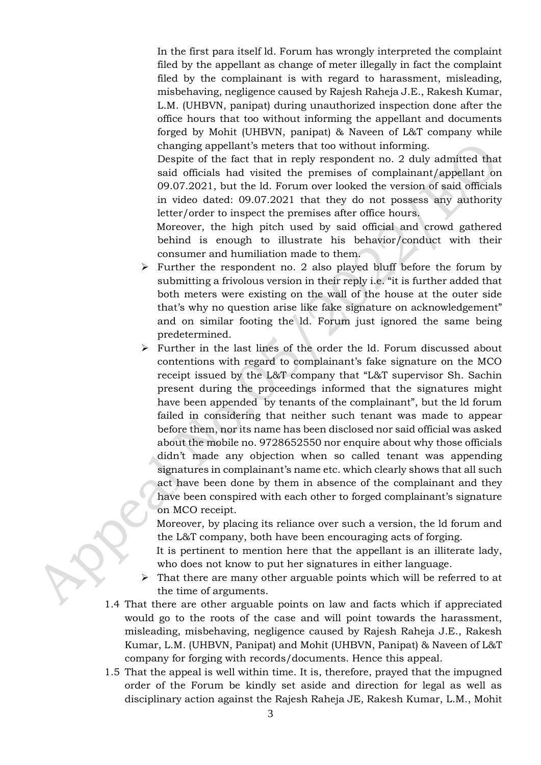In the first para itself ld. Forum has wrongly interpreted the complaint filed by the appellant as change of meter illegally in fact the complaint filed by the complainant is with regard to harassment, misleading, misbehaving, negligence caused by Rajesh Raheja J.E., Rakesh Kumar, L.M. (UHBVN, panipat) during unauthorized inspection done after the office hours that too without informing the appellant and documents forged by Mohit (UHBVN, panipat) & Naveen of L&T company while changing appellant's meters that too without informing.

Despite of the fact that in reply respondent no. 2 duly admitted that said officials had visited the premises of complainant/appellant on 09.07.2021, but the ld. Forum over looked the version of said officials in video dated: 09.07.2021 that they do not possess any authority letter/order to inspect the premises after office hours.

 Moreover, the high pitch used by said official and crowd gathered behind is enough to illustrate his behavior/conduct with their consumer and humiliation made to them.

- $\triangleright$  Further the respondent no. 2 also played bluff before the forum by submitting a frivolous version in their reply i.e. "it is further added that both meters were existing on the wall of the house at the outer side that's why no question arise like fake signature on acknowledgement" and on similar footing the ld. Forum just ignored the same being predetermined.
- ➢ Further in the last lines of the order the ld. Forum discussed about contentions with regard to complainant's fake signature on the MCO receipt issued by the L&T company that "L&T supervisor Sh. Sachin present during the proceedings informed that the signatures might have been appended by tenants of the complainant", but the ld forum failed in considering that neither such tenant was made to appear before them, nor its name has been disclosed nor said official was asked about the mobile no. 9728652550 nor enquire about why those officials didn't made any objection when so called tenant was appending signatures in complainant's name etc. which clearly shows that all such act have been done by them in absence of the complainant and they have been conspired with each other to forged complainant's signature on MCO receipt.

 Moreover, by placing its reliance over such a version, the ld forum and the L&T company, both have been encouraging acts of forging.

 It is pertinent to mention here that the appellant is an illiterate lady, who does not know to put her signatures in either language.

- $\triangleright$  That there are many other arguable points which will be referred to at the time of arguments.
- 1.4 That there are other arguable points on law and facts which if appreciated would go to the roots of the case and will point towards the harassment, misleading, misbehaving, negligence caused by Rajesh Raheja J.E., Rakesh Kumar, L.M. (UHBVN, Panipat) and Mohit (UHBVN, Panipat) & Naveen of L&T company for forging with records/documents. Hence this appeal.
- 1.5 That the appeal is well within time. It is, therefore, prayed that the impugned order of the Forum be kindly set aside and direction for legal as well as disciplinary action against the Rajesh Raheja JE, Rakesh Kumar, L.M., Mohit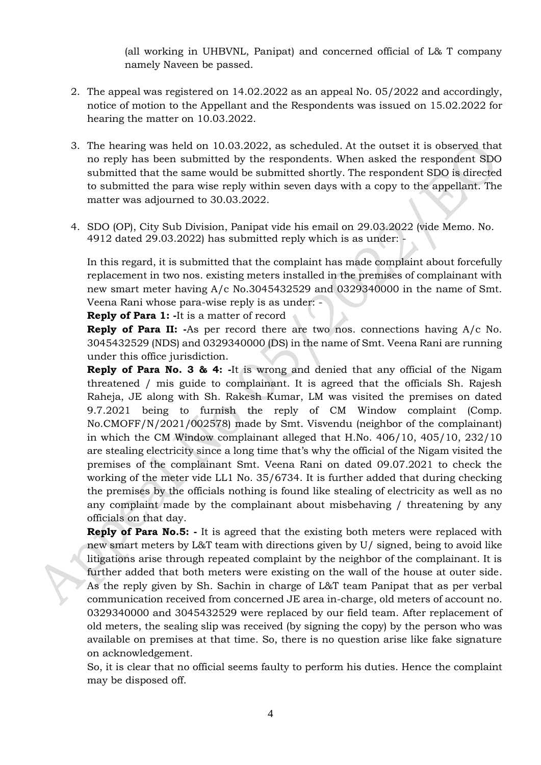(all working in UHBVNL, Panipat) and concerned official of L& T company namely Naveen be passed.

- 2. The appeal was registered on 14.02.2022 as an appeal No. 05/2022 and accordingly, notice of motion to the Appellant and the Respondents was issued on 15.02.2022 for hearing the matter on 10.03.2022.
- 3. The hearing was held on 10.03.2022, as scheduled. At the outset it is observed that no reply has been submitted by the respondents. When asked the respondent SDO submitted that the same would be submitted shortly. The respondent SDO is directed to submitted the para wise reply within seven days with a copy to the appellant. The matter was adjourned to 30.03.2022.
- 4. SDO (OP), City Sub Division, Panipat vide his email on 29.03.2022 (vide Memo. No. 4912 dated 29.03.2022) has submitted reply which is as under: -

In this regard, it is submitted that the complaint has made complaint about forcefully replacement in two nos. existing meters installed in the premises of complainant with new smart meter having A/c No.3045432529 and 0329340000 in the name of Smt. Veena Rani whose para-wise reply is as under: -

**Reply of Para 1: -**It is a matter of record

**Reply of Para II: -**As per record there are two nos. connections having A/c No. 3045432529 (NDS) and 0329340000 (DS) in the name of Smt. Veena Rani are running under this office jurisdiction.

**Reply of Para No. 3 & 4: -**It is wrong and denied that any official of the Nigam threatened / mis guide to complainant. It is agreed that the officials Sh. Rajesh Raheja, JE along with Sh. Rakesh Kumar, LM was visited the premises on dated 9.7.2021 being to furnish the reply of CM Window complaint (Comp. No.CMOFF/N/2021/002578) made by Smt. Visvendu (neighbor of the complainant) in which the CM Window complainant alleged that H.No. 406/10, 405/10, 232/10 are stealing electricity since a long time that's why the official of the Nigam visited the premises of the complainant Smt. Veena Rani on dated 09.07.2021 to check the working of the meter vide LL1 No. 35/6734. It is further added that during checking the premises by the officials nothing is found like stealing of electricity as well as no any complaint made by the complainant about misbehaving / threatening by any officials on that day.

**Reply of Para No.5:** - It is agreed that the existing both meters were replaced with new smart meters by L&T team with directions given by U/ signed, being to avoid like litigations arise through repeated complaint by the neighbor of the complainant. It is further added that both meters were existing on the wall of the house at outer side. As the reply given by Sh. Sachin in charge of L&T team Panipat that as per verbal communication received from concerned JE area in-charge, old meters of account no. 0329340000 and 3045432529 were replaced by our field team. After replacement of old meters, the sealing slip was received (by signing the copy) by the person who was available on premises at that time. So, there is no question arise like fake signature on acknowledgement.

So, it is clear that no official seems faulty to perform his duties. Hence the complaint may be disposed off.